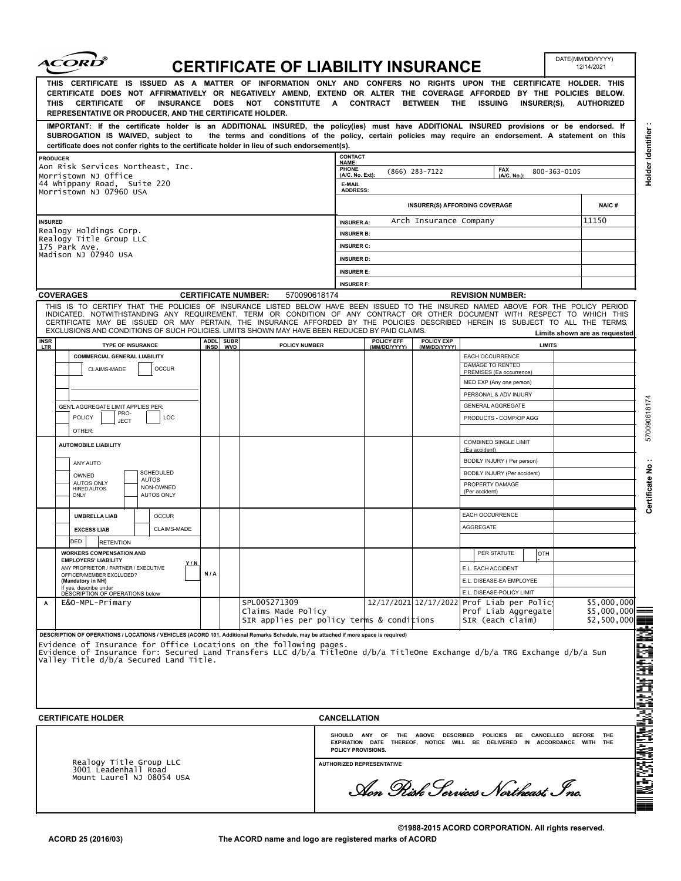|                                                                                          | <i><b>ACORD</b></i>                                                                                                                                                                                                                                                                                                                                                                              |             |            | <b>CERTIFICATE OF LIABILITY INSURANCE</b>                                                                |                                                                         |              |              |                                                                                                                                                |               | DATE(MM/DD/YYYY)<br>12/14/2021                    |                                                 |
|------------------------------------------------------------------------------------------|--------------------------------------------------------------------------------------------------------------------------------------------------------------------------------------------------------------------------------------------------------------------------------------------------------------------------------------------------------------------------------------------------|-------------|------------|----------------------------------------------------------------------------------------------------------|-------------------------------------------------------------------------|--------------|--------------|------------------------------------------------------------------------------------------------------------------------------------------------|---------------|---------------------------------------------------|-------------------------------------------------|
| THIS                                                                                     | THIS CERTIFICATE IS ISSUED AS A MATTER OF INFORMATION ONLY AND CONFERS NO RIGHTS UPON THE CERTIFICATE HOLDER. THIS<br>CERTIFICATE DOES NOT AFFIRMATIVELY OR NEGATIVELY AMEND, EXTEND OR ALTER THE COVERAGE AFFORDED BY THE POLICIES BELOW.<br><b>CERTIFICATE OF INSURANCE</b><br>REPRESENTATIVE OR PRODUCER, AND THE CERTIFICATE HOLDER.                                                         |             |            | DOES NOT CONSTITUTE A CONTRACT BETWEEN THE ISSUING                                                       |                                                                         |              |              | <b>INSURER(S),</b>                                                                                                                             |               | <b>AUTHORIZED</b>                                 |                                                 |
|                                                                                          | IMPORTANT: If the certificate holder is an ADDITIONAL INSURED, the policy(ies) must have ADDITIONAL INSURED provisions or be endorsed. If<br>SUBROGATION IS WAIVED, subject to<br>certificate does not confer rights to the certificate holder in lieu of such endorsement(s).                                                                                                                   |             |            | the terms and conditions of the policy, certain policies may require an endorsement. A statement on this |                                                                         |              |              |                                                                                                                                                |               |                                                   | Holder Identifier                               |
| <b>PRODUCER</b>                                                                          |                                                                                                                                                                                                                                                                                                                                                                                                  |             |            |                                                                                                          | CONTACT                                                                 |              |              |                                                                                                                                                |               |                                                   |                                                 |
| Aon Risk Services Northeast, Inc.<br>Morristown NJ Office<br>44 Whippany Road, Suite 220 |                                                                                                                                                                                                                                                                                                                                                                                                  |             |            |                                                                                                          | NAME:<br><b>PHONE</b><br><b>FAX</b><br>$(866)$ 283-7122<br>800-363-0105 |              |              |                                                                                                                                                |               |                                                   |                                                 |
|                                                                                          |                                                                                                                                                                                                                                                                                                                                                                                                  |             |            |                                                                                                          | (A/C. No. Ext):<br>(A/C. No.):<br>E-MAIL                                |              |              |                                                                                                                                                |               |                                                   |                                                 |
|                                                                                          | Morristown NJ 07960 USA                                                                                                                                                                                                                                                                                                                                                                          |             |            |                                                                                                          | <b>ADDRESS:</b>                                                         |              |              |                                                                                                                                                |               |                                                   |                                                 |
|                                                                                          |                                                                                                                                                                                                                                                                                                                                                                                                  |             |            |                                                                                                          |                                                                         |              |              | <b>INSURER(S) AFFORDING COVERAGE</b>                                                                                                           |               | <b>NAIC#</b>                                      |                                                 |
| <b>INSURED</b>                                                                           |                                                                                                                                                                                                                                                                                                                                                                                                  |             |            |                                                                                                          | Arch Insurance Company<br><b>INSURER A:</b>                             |              |              |                                                                                                                                                |               | 11150                                             |                                                 |
|                                                                                          | Realogy Holdings Corp.<br>Realogy Title Group LLC                                                                                                                                                                                                                                                                                                                                                |             |            |                                                                                                          | <b>INSURER B:</b>                                                       |              |              |                                                                                                                                                |               |                                                   |                                                 |
|                                                                                          | 175 Park Ave.<br>Madison NJ 07940 USA                                                                                                                                                                                                                                                                                                                                                            |             |            |                                                                                                          | <b>INSURER C:</b>                                                       |              |              |                                                                                                                                                |               |                                                   |                                                 |
|                                                                                          |                                                                                                                                                                                                                                                                                                                                                                                                  |             |            |                                                                                                          | <b>INSURER D:</b>                                                       |              |              |                                                                                                                                                |               |                                                   |                                                 |
|                                                                                          |                                                                                                                                                                                                                                                                                                                                                                                                  |             |            |                                                                                                          | <b>INSURER E:</b><br><b>INSURER F:</b>                                  |              |              |                                                                                                                                                |               |                                                   |                                                 |
|                                                                                          | <b>COVERAGES</b>                                                                                                                                                                                                                                                                                                                                                                                 |             |            | 570090618174<br><b>CERTIFICATE NUMBER:</b>                                                               |                                                                         |              |              | <b>REVISION NUMBER:</b>                                                                                                                        |               |                                                   |                                                 |
|                                                                                          | THIS IS TO CERTIFY THAT THE POLICIES OF INSURANCE LISTED BELOW HAVE BEEN ISSUED TO THE INSURED NAMED ABOVE FOR THE POLICY PERIOD<br>INDICATED. NOTWITHSTANDING ANY REQUIREMENT, TERM OR CONDITION OF ANY CONTRACT OR OTHER DOCUMENT WITH RESPECT TO WHICH THIS<br>CERTIFICATE MAY BE ISSUED OR MAY PERTAIN, THE INSURANCE AFFORDED BY THE POLICIES DESCRIBED HEREIN IS SUBJECT TO ALL THE TERMS, |             |            |                                                                                                          |                                                                         |              |              |                                                                                                                                                |               |                                                   |                                                 |
| <b>INSR</b>                                                                              | EXCLUSIONS AND CONDITIONS OF SUCH POLICIES. LIMITS SHOWN MAY HAVE BEEN REDUCED BY PAID CLAIMS.                                                                                                                                                                                                                                                                                                   |             | ADDL SUBR  |                                                                                                          |                                                                         | POLICY EFF   | POLICY EXP   |                                                                                                                                                |               | Limits shown are as requested                     |                                                 |
| <b>LTR</b>                                                                               | <b>TYPE OF INSURANCE</b><br><b>COMMERCIAL GENERAL LIABILITY</b>                                                                                                                                                                                                                                                                                                                                  | <b>INSD</b> | <b>WVD</b> | POLICY NUMBER                                                                                            |                                                                         | (MM/DD/YYYY) | (MM/DD/YYYY) | <b>EACH OCCURRENCE</b>                                                                                                                         | <b>LIMITS</b> |                                                   |                                                 |
|                                                                                          | CLAIMS-MADE<br><b>OCCUR</b>                                                                                                                                                                                                                                                                                                                                                                      |             |            |                                                                                                          |                                                                         |              |              | DAMAGE TO RENTED                                                                                                                               |               |                                                   |                                                 |
|                                                                                          |                                                                                                                                                                                                                                                                                                                                                                                                  |             |            |                                                                                                          |                                                                         |              |              | PREMISES (Ea occurrence)<br>MED EXP (Any one person)                                                                                           |               |                                                   |                                                 |
|                                                                                          |                                                                                                                                                                                                                                                                                                                                                                                                  |             |            |                                                                                                          |                                                                         |              |              | PERSONAL & ADV INJURY                                                                                                                          |               |                                                   |                                                 |
|                                                                                          | GEN'L AGGREGATE LIMIT APPLIES PER:                                                                                                                                                                                                                                                                                                                                                               |             |            |                                                                                                          |                                                                         |              |              | <b>GENERAL AGGREGATE</b>                                                                                                                       |               |                                                   |                                                 |
|                                                                                          | PRO-<br><b>POLICY</b><br>LOC<br><b>JECT</b><br>OTHER:                                                                                                                                                                                                                                                                                                                                            |             |            |                                                                                                          |                                                                         |              |              | PRODUCTS - COMP/OP AGG                                                                                                                         |               |                                                   | 570090618174                                    |
|                                                                                          | <b>AUTOMOBILE LIABILITY</b>                                                                                                                                                                                                                                                                                                                                                                      |             |            |                                                                                                          |                                                                         |              |              | <b>COMBINED SINGLE LIMIT</b>                                                                                                                   |               |                                                   |                                                 |
|                                                                                          | ANY AUTO                                                                                                                                                                                                                                                                                                                                                                                         |             |            |                                                                                                          |                                                                         |              |              | (Ea accident)<br>BODILY INJURY ( Per person)                                                                                                   |               |                                                   |                                                 |
|                                                                                          | <b>SCHEDULED</b><br>OWNED                                                                                                                                                                                                                                                                                                                                                                        |             |            |                                                                                                          |                                                                         |              |              | BODILY INJURY (Per accident)                                                                                                                   |               |                                                   |                                                 |
|                                                                                          | <b>AUTOS</b><br><b>AUTOS ONLY</b><br>NON-OWNED<br>HIRED AUTOS<br><b>AUTOS ONLY</b><br>ONLY                                                                                                                                                                                                                                                                                                       |             |            |                                                                                                          |                                                                         |              |              | PROPERTY DAMAGE<br>(Per accident)                                                                                                              |               |                                                   | Certificate No                                  |
|                                                                                          |                                                                                                                                                                                                                                                                                                                                                                                                  |             |            |                                                                                                          |                                                                         |              |              | EACH OCCURRENCE                                                                                                                                |               |                                                   |                                                 |
|                                                                                          | <b>UMBRELLA LIAB</b><br><b>OCCUR</b><br>CLAIMS-MADE                                                                                                                                                                                                                                                                                                                                              |             |            |                                                                                                          |                                                                         |              |              | <b>AGGREGATE</b>                                                                                                                               |               |                                                   |                                                 |
|                                                                                          | <b>EXCESS LIAB</b><br>DED<br>RETENTION                                                                                                                                                                                                                                                                                                                                                           |             |            |                                                                                                          |                                                                         |              |              |                                                                                                                                                |               |                                                   |                                                 |
|                                                                                          | <b>WORKERS COMPENSATION AND</b>                                                                                                                                                                                                                                                                                                                                                                  |             |            |                                                                                                          |                                                                         |              |              | PER STATUTE<br><b>OTH</b>                                                                                                                      |               |                                                   |                                                 |
|                                                                                          | <b>EMPLOYERS' LIABILITY</b><br>Y/N<br>ANY PROPRIETOR / PARTNER / EXECUTIVE                                                                                                                                                                                                                                                                                                                       |             |            |                                                                                                          |                                                                         |              |              | E.L. EACH ACCIDENT                                                                                                                             |               |                                                   |                                                 |
|                                                                                          | OFFICER/MEMBER EXCLUDED?<br>(Mandatory in NH)                                                                                                                                                                                                                                                                                                                                                    | N/A         |            |                                                                                                          |                                                                         |              |              | E.L. DISEASE-EA EMPLOYEE                                                                                                                       |               |                                                   |                                                 |
|                                                                                          | If yes, describe under<br>DESCRIPTION OF OPERATIONS below                                                                                                                                                                                                                                                                                                                                        |             |            |                                                                                                          |                                                                         |              |              | E.L. DISEASE-POLICY LIMIT                                                                                                                      |               |                                                   |                                                 |
| Α                                                                                        | E&O-MPL-Primary                                                                                                                                                                                                                                                                                                                                                                                  |             |            | SPL005271309<br>Claims Made Policy<br>SIR applies per policy terms & conditions                          |                                                                         |              |              | 12/17/2021 12/17/2022 Prof Liab per Polic<br>Prof Liab Aggregate<br>SIR (each claim)                                                           |               | \$5,000,000<br>$$5,000,000 \equiv$<br>\$2,500,000 |                                                 |
|                                                                                          |                                                                                                                                                                                                                                                                                                                                                                                                  |             |            |                                                                                                          |                                                                         |              |              |                                                                                                                                                |               |                                                   |                                                 |
|                                                                                          | DESCRIPTION OF OPERATIONS / LOCATIONS / VEHICLES (ACORD 101, Additional Remarks Schedule, may be attached if more space is required)<br>Evidence of Insurance for Office Locations on the following pages.                                                                                                                                                                                       |             |            |                                                                                                          |                                                                         |              |              |                                                                                                                                                |               |                                                   |                                                 |
|                                                                                          | Evidence of Insurance for: Secured Land Transfers LLC d/b/a TitleOne d/b/a TitleOne Exchange d/b/a TRG Exchange d/b/a Sun<br>Valley Title d/b/a Secured Land Title.                                                                                                                                                                                                                              |             |            |                                                                                                          |                                                                         |              |              |                                                                                                                                                |               |                                                   |                                                 |
|                                                                                          |                                                                                                                                                                                                                                                                                                                                                                                                  |             |            |                                                                                                          |                                                                         |              |              |                                                                                                                                                |               |                                                   |                                                 |
|                                                                                          |                                                                                                                                                                                                                                                                                                                                                                                                  |             |            |                                                                                                          |                                                                         |              |              |                                                                                                                                                |               |                                                   |                                                 |
|                                                                                          |                                                                                                                                                                                                                                                                                                                                                                                                  |             |            |                                                                                                          |                                                                         |              |              |                                                                                                                                                |               |                                                   |                                                 |
|                                                                                          | <b>CERTIFICATE HOLDER</b>                                                                                                                                                                                                                                                                                                                                                                        |             |            |                                                                                                          | <b>CANCELLATION</b>                                                     |              |              |                                                                                                                                                |               |                                                   |                                                 |
|                                                                                          |                                                                                                                                                                                                                                                                                                                                                                                                  |             |            |                                                                                                          | POLICY PROVISIONS.                                                      |              |              | SHOULD ANY OF THE ABOVE DESCRIBED POLICIES BE CANCELLED BEFORE THE<br>EXPIRATION DATE THEREOF, NOTICE WILL BE DELIVERED IN ACCORDANCE WITH THE |               |                                                   |                                                 |
| Realogy Title Group LLC                                                                  |                                                                                                                                                                                                                                                                                                                                                                                                  |             |            |                                                                                                          |                                                                         |              |              |                                                                                                                                                |               |                                                   |                                                 |
| 3001 Leadenhall Road<br>Mount Laurel NJ 08054 USA                                        |                                                                                                                                                                                                                                                                                                                                                                                                  |             |            |                                                                                                          | <b>AUTHORIZED REPRESENTATIVE</b><br>Aon Pisk Services Northeast Inc.    |              |              |                                                                                                                                                |               |                                                   | WA BASI AREL ANG TARTAY NG ANG ANG ERA TARI ILI |
|                                                                                          |                                                                                                                                                                                                                                                                                                                                                                                                  |             |            |                                                                                                          |                                                                         |              |              |                                                                                                                                                |               |                                                   |                                                 |

DATE(MM/DD/YYYY)

**©1988-2015 ACORD CORPORATION. All rights reserved. The ACORD name and logo are registered marks of ACORD**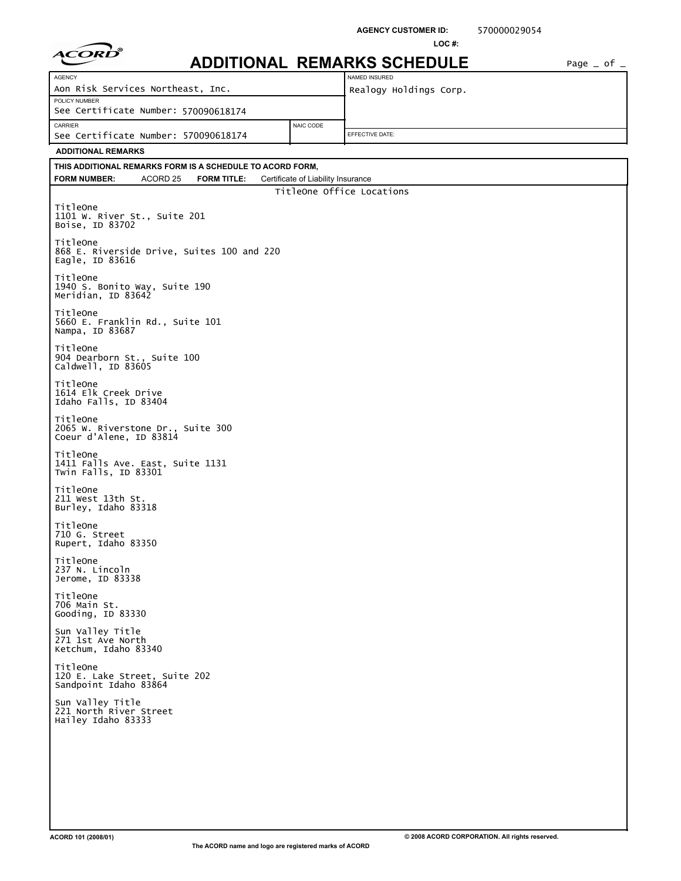|                                                                           |                                    | <b>AGENCY CUSTOMER ID:</b><br>LOC# | 570000029054 |                 |
|---------------------------------------------------------------------------|------------------------------------|------------------------------------|--------------|-----------------|
|                                                                           |                                    | <b>ADDITIONAL REMARKS SCHEDULE</b> |              | Page $=$ of $=$ |
| AGENCY                                                                    |                                    | NAMED INSURED                      |              |                 |
| Aon Risk Services Northeast, Inc.                                         |                                    | Realogy Holdings Corp.             |              |                 |
| POLICY NUMBER<br>See Certificate Number: 570090618174                     |                                    |                                    |              |                 |
| CARRIER<br>See Certificate Number: 570090618174                           | NAIC CODE                          | EFFECTIVE DATE:                    |              |                 |
| <b>ADDITIONAL REMARKS</b>                                                 |                                    |                                    |              |                 |
| THIS ADDITIONAL REMARKS FORM IS A SCHEDULE TO ACORD FORM,                 |                                    |                                    |              |                 |
| <b>FORM NUMBER:</b><br>ACORD <sub>25</sub><br><b>FORM TITLE:</b>          | Certificate of Liability Insurance |                                    |              |                 |
| TitleOne<br>1101 W. River St., Suite 201<br>Boise, ID 83702               |                                    | TitleOne Office Locations          |              |                 |
| TitleOne<br>868 E. Riverside Drive, Suites 100 and 220<br>Eagle, ID 83616 |                                    |                                    |              |                 |
| TitleOne<br>1940 S. Bonito Way, Suite 190<br>Meridian, ID 83642           |                                    |                                    |              |                 |
| TitleOne<br>5660 E. Franklin Rd., Suite 101<br>Nampa, ID 83687            |                                    |                                    |              |                 |
| TitleOne<br>904 Dearborn St., Suite 100<br>Caldwell, ID 83605             |                                    |                                    |              |                 |
| TitleOne<br>1614 Elk Creek Drive<br>Idaho Falls, ID 83404                 |                                    |                                    |              |                 |
| TitleOne<br>2065 W. Riverstone Dr., Suite 300<br>Coeur d'Alene, ID 83814  |                                    |                                    |              |                 |
| TitleOne<br>1411 Falls Ave. East, Suite 1131<br>Twin Falls, ID 83301      |                                    |                                    |              |                 |
| TitleOne<br>211 West 13th St.<br>Burley, Idaho 83318                      |                                    |                                    |              |                 |
| TitleOne<br>710 G. Street<br>Rupert, Idaho 83350                          |                                    |                                    |              |                 |
| TitleOne<br>237 N. Lincoln<br>Jerome, ID 83338                            |                                    |                                    |              |                 |
| TitleOne<br>706 Main St.<br>Gooding, ID 83330                             |                                    |                                    |              |                 |
| Sun Valley Title<br>271 1st Ave North<br>Ketchum, Idaho 83340             |                                    |                                    |              |                 |
| TitleOne<br>120 E. Lake Street, Suite 202<br>Sandpoint Idaho 83864        |                                    |                                    |              |                 |
| Sun Valley Title<br>221 North River Street<br>Hailey Idaho 83333          |                                    |                                    |              |                 |